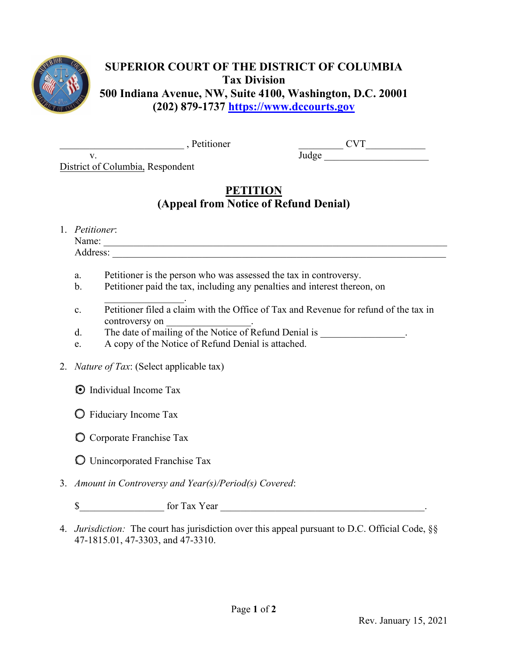

## **SUPERIOR COURT OF THE DISTRICT OF COLUMBIA Tax Division 500 Indiana Avenue, NW, Suite 4100, Washington, D.C. 20001 (202) 879-1737 [https://www.dccourts.gov](https://www.dccourts.gov/)**

\_\_\_\_\_\_\_\_\_\_\_\_\_\_\_\_\_\_\_\_\_\_\_\_\_ , Petitioner

 $CVT$  $\frac{\text{Judge}}{\text{Judge}}$ 

District of Columbia, Respondent

## **PETITION (Appeal from Notice of Refund Denial)**

1. *Petitioner*: Name: \_\_\_\_\_\_\_\_\_\_\_\_\_\_\_\_\_\_\_\_\_\_\_\_\_\_\_\_\_\_\_\_\_\_\_\_\_\_\_\_\_\_\_\_\_\_\_\_\_\_\_\_\_\_\_\_\_\_\_\_\_\_\_\_\_\_\_\_\_

v.

Address:

- a. Petitioner is the person who was assessed the tax in controversy.
- b. Petitioner paid the tax, including any penalties and interest thereon, on
- $\mathcal{L}$  , we have the set of  $\mathcal{L}$ c. Petitioner filed a claim with the Office of Tax and Revenue for refund of the tax in controversy on
- d. The date of mailing of the Notice of Refund Denial is  $\blacksquare$
- e. A copy of the Notice of Refund Denial is attached.
- 2. *Nature of Tax*: (Select applicable tax)
	- **◯** Individual Income Tax
	- ☐ Fiduciary Income Tax
	- ☐ Corporate Franchise Tax
	- ☐ Unincorporated Franchise Tax
- 3. *Amount in Controversy and Year(s)/Period(s) Covered*:

\$\_\_\_\_\_\_\_\_\_\_\_\_\_\_\_\_\_ for Tax Year \_\_\_\_\_\_\_\_\_\_\_\_\_\_\_\_\_\_\_\_\_\_\_\_\_\_\_\_\_\_\_\_\_\_\_\_\_\_\_\_\_.

4. *Jurisdiction:* The court has jurisdiction over this appeal pursuant to D.C. Official Code, §§ 47-1815.01, 47-3303, and 47-3310.